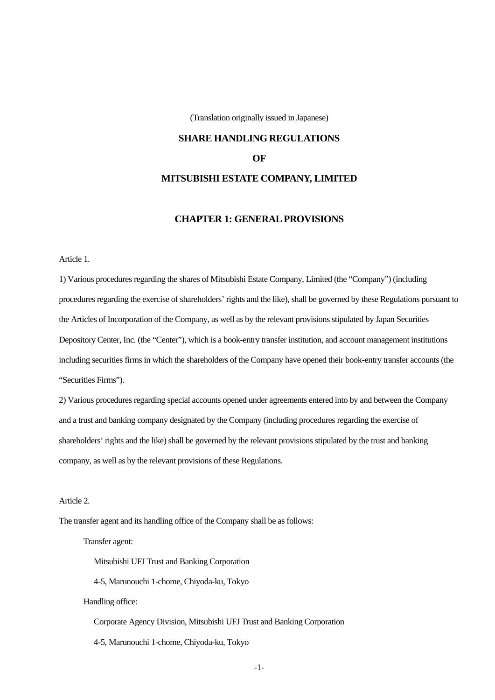(Translation originally issued in Japanese)

## **SHARE HANDLING REGULATIONS**

**OF** 

## **MITSUBISHI ESTATE COMPANY, LIMITED**

## **CHAPTER 1: GENERAL PROVISIONS**

Article 1.

1) Various procedures regarding the shares of Mitsubishi Estate Company, Limited (the "Company") (including procedures regarding the exercise of shareholders' rights and the like), shall be governed by these Regulations pursuant to the Articles of Incorporation of the Company, as well as by the relevant provisions stipulated by Japan Securities Depository Center, Inc. (the "Center"), which is a book-entry transfer institution, and account management institutions including securities firms in which the shareholders of the Company have opened their book-entry transfer accounts (the "Securities Firms").

2) Various procedures regarding special accounts opened under agreements entered into by and between the Company and a trust and banking company designated by the Company (including procedures regarding the exercise of shareholders' rights and the like) shall be governed by the relevant provisions stipulated by the trust and banking company, as well as by the relevant provisions of these Regulations.

Article 2.

The transfer agent and its handling office of the Company shall be as follows:

Transfer agent:

Mitsubishi UFJ Trust and Banking Corporation

4-5, Marunouchi 1-chome, Chiyoda-ku, Tokyo

Handling office:

Corporate Agency Division, Mitsubishi UFJ Trust and Banking Corporation

4-5, Marunouchi 1-chome, Chiyoda-ku, Tokyo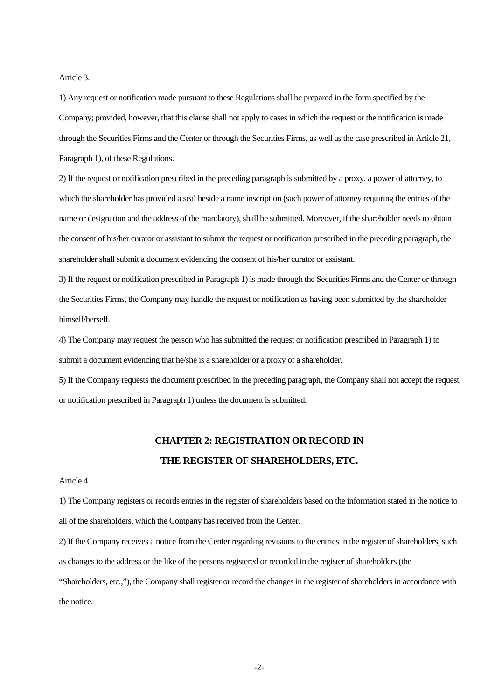Article 3.

1) Any request or notification made pursuant to these Regulations shall be prepared in the form specified by the Company; provided, however, that this clause shall not apply to cases in which the request or the notification is made through the Securities Firms and the Center or through the Securities Firms, as well as the case prescribed in Article 21, Paragraph 1), of these Regulations.

2) If the request or notification prescribed in the preceding paragraph is submitted by a proxy, a power of attorney, to which the shareholder has provided a seal beside a name inscription (such power of attorney requiring the entries of the name or designation and the address of the mandatory), shall be submitted. Moreover, if the shareholder needs to obtain the consent of his/her curator or assistant to submit the request or notification prescribed in the preceding paragraph, the shareholder shall submit a document evidencing the consent of his/her curator or assistant.

3) If the request or notification prescribed in Paragraph 1) is made through the Securities Firms and the Center or through the Securities Firms, the Company may handle the request or notification as having been submitted by the shareholder himself/herself.

4) The Company may request the person who has submitted the request or notification prescribed in Paragraph 1) to submit a document evidencing that he/she is a shareholder or a proxy of a shareholder.

5) If the Company requests the document prescribed in the preceding paragraph, the Company shall not accept the request or notification prescribed in Paragraph 1) unless the document is submitted.

# **CHAPTER 2: REGISTRATION OR RECORD IN THE REGISTER OF SHAREHOLDERS, ETC.**

Article 4.

1) The Company registers or records entries in the register of shareholders based on the information stated in the notice to all of the shareholders, which the Company has received from the Center.

2) If the Company receives a notice from the Center regarding revisions to the entries in the register of shareholders, such as changes to the address or the like of the persons registered or recorded in the register of shareholders (the "Shareholders, etc.,"), the Company shall register or record the changes in the register of shareholders in accordance with the notice.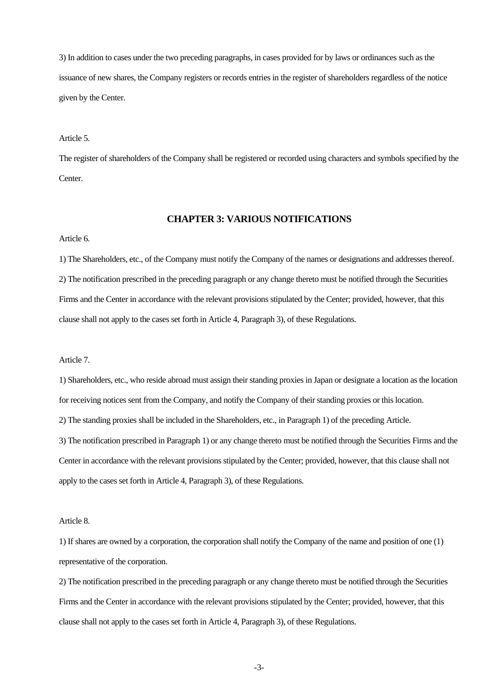3) In addition to cases under the two preceding paragraphs, in cases provided for by laws or ordinances such as the issuance of new shares, the Company registers or records entries in the register of shareholders regardless of the notice given by the Center.

#### Article 5.

The register of shareholders of the Company shall be registered or recorded using characters and symbols specified by the Center.

## **CHAPTER 3: VARIOUS NOTIFICATIONS**

#### Article 6.

1) The Shareholders, etc., of the Company must notify the Company of the names or designations and addresses thereof. 2) The notification prescribed in the preceding paragraph or any change thereto must be notified through the Securities Firms and the Center in accordance with the relevant provisions stipulated by the Center; provided, however, that this clause shall not apply to the cases set forth in Article 4, Paragraph 3), of these Regulations.

## Article 7.

1) Shareholders, etc., who reside abroad must assign their standing proxies in Japan or designate a location as the location for receiving notices sent from the Company, and notify the Company of their standing proxies or this location. 2) The standing proxies shall be included in the Shareholders, etc., in Paragraph 1) of the preceding Article. 3) The notification prescribed in Paragraph 1) or any change thereto must be notified through the Securities Firms and the Center in accordance with the relevant provisions stipulated by the Center; provided, however, that this clause shall not

apply to the cases set forth in Article 4, Paragraph 3), of these Regulations.

#### Article 8.

1) If shares are owned by a corporation, the corporation shall notify the Company of the name and position of one (1) representative of the corporation.

2) The notification prescribed in the preceding paragraph or any change thereto must be notified through the Securities Firms and the Center in accordance with the relevant provisions stipulated by the Center; provided, however, that this clause shall not apply to the cases set forth in Article 4, Paragraph 3), of these Regulations.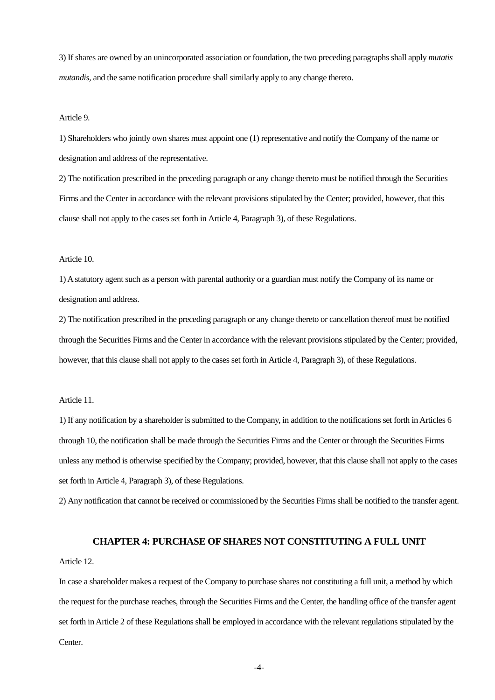3) If shares are owned by an unincorporated association or foundation, the two preceding paragraphs shall apply *mutatis mutandis,* and the same notification procedure shall similarly apply to any change thereto.

#### Article 9.

1) Shareholders who jointly own shares must appoint one (1) representative and notify the Company of the name or designation and address of the representative.

2) The notification prescribed in the preceding paragraph or any change thereto must be notified through the Securities Firms and the Center in accordance with the relevant provisions stipulated by the Center; provided, however, that this clause shall not apply to the cases set forth in Article 4, Paragraph 3), of these Regulations.

#### Article 10.

1) A statutory agent such as a person with parental authority or a guardian must notify the Company of its name or designation and address.

2) The notification prescribed in the preceding paragraph or any change thereto or cancellation thereof must be notified through the Securities Firms and the Center in accordance with the relevant provisions stipulated by the Center; provided, however, that this clause shall not apply to the cases set forth in Article 4, Paragraph 3), of these Regulations.

#### Article 11.

1) If any notification by a shareholder is submitted to the Company, in addition to the notifications set forth in Articles 6 through 10, the notification shall be made through the Securities Firms and the Center or through the Securities Firms unless any method is otherwise specified by the Company; provided, however, that this clause shall not apply to the cases set forth in Article 4, Paragraph 3), of these Regulations.

2) Any notification that cannot be received or commissioned by the Securities Firms shall be notified to the transfer agent.

## **CHAPTER 4: PURCHASE OF SHARES NOT CONSTITUTING A FULL UNIT**

## Article 12.

In case a shareholder makes a request of the Company to purchase shares not constituting a full unit, a method by which the request for the purchase reaches, through the Securities Firms and the Center, the handling office of the transfer agent set forth in Article 2 of these Regulations shall be employed in accordance with the relevant regulations stipulated by the Center.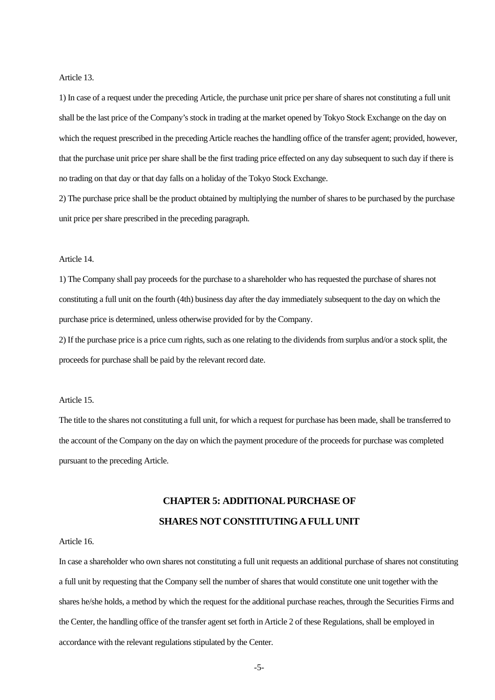#### Article 13.

1) In case of a request under the preceding Article, the purchase unit price per share of shares not constituting a full unit shall be the last price of the Company's stock in trading at the market opened by Tokyo Stock Exchange on the day on which the request prescribed in the preceding Article reaches the handling office of the transfer agent; provided, however, that the purchase unit price per share shall be the first trading price effected on any day subsequent to such day if there is no trading on that day or that day falls on a holiday of the Tokyo Stock Exchange.

2) The purchase price shall be the product obtained by multiplying the number of shares to be purchased by the purchase unit price per share prescribed in the preceding paragraph.

#### Article 14.

1) The Company shall pay proceeds for the purchase to a shareholder who has requested the purchase of shares not constituting a full unit on the fourth (4th) business day after the day immediately subsequent to the day on which the purchase price is determined, unless otherwise provided for by the Company.

2) If the purchase price is a price cum rights, such as one relating to the dividends from surplus and/or a stock split, the proceeds for purchase shall be paid by the relevant record date.

#### Article 15.

The title to the shares not constituting a full unit, for which a request for purchase has been made, shall be transferred to the account of the Company on the day on which the payment procedure of the proceeds for purchase was completed pursuant to the preceding Article.

# **CHAPTER 5: ADDITIONAL PURCHASE OF SHARES NOT CONSTITUTING A FULL UNIT**

#### Article 16.

In case a shareholder who own shares not constituting a full unit requests an additional purchase of shares not constituting a full unit by requesting that the Company sell the number of shares that would constitute one unit together with the shares he/she holds, a method by which the request for the additional purchase reaches, through the Securities Firms and the Center, the handling office of the transfer agent set forth in Article 2 of these Regulations, shall be employed in accordance with the relevant regulations stipulated by the Center.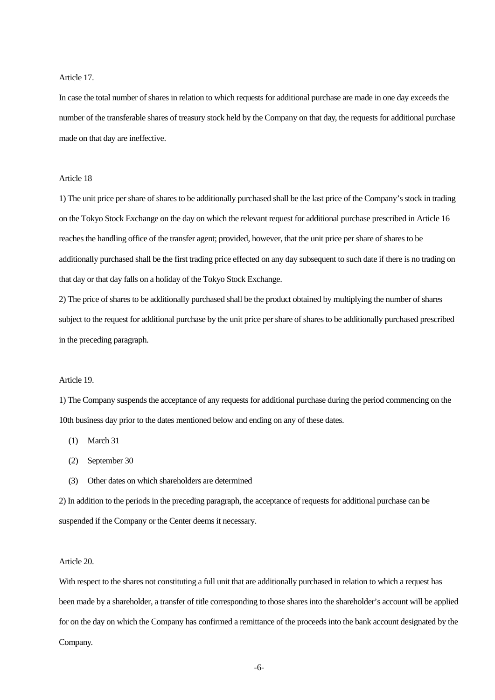### Article 17.

In case the total number of shares in relation to which requests for additional purchase are made in one day exceeds the number of the transferable shares of treasury stock held by the Company on that day, the requests for additional purchase made on that day are ineffective.

## Article 18

1) The unit price per share of shares to be additionally purchased shall be the last price of the Company's stock in trading on the Tokyo Stock Exchange on the day on which the relevant request for additional purchase prescribed in Article 16 reaches the handling office of the transfer agent; provided, however, that the unit price per share of shares to be additionally purchased shall be the first trading price effected on any day subsequent to such date if there is no trading on that day or that day falls on a holiday of the Tokyo Stock Exchange.

2) The price of shares to be additionally purchased shall be the product obtained by multiplying the number of shares subject to the request for additional purchase by the unit price per share of shares to be additionally purchased prescribed in the preceding paragraph.

#### Article 19.

1) The Company suspends the acceptance of any requests for additional purchase during the period commencing on the 10th business day prior to the dates mentioned below and ending on any of these dates.

(1) March 31

- (2) September 30
- (3) Other dates on which shareholders are determined

2) In addition to the periods in the preceding paragraph, the acceptance of requests for additional purchase can be suspended if the Company or the Center deems it necessary.

## Article 20.

With respect to the shares not constituting a full unit that are additionally purchased in relation to which a request has been made by a shareholder, a transfer of title corresponding to those shares into the shareholder's account will be applied for on the day on which the Company has confirmed a remittance of the proceeds into the bank account designated by the Company.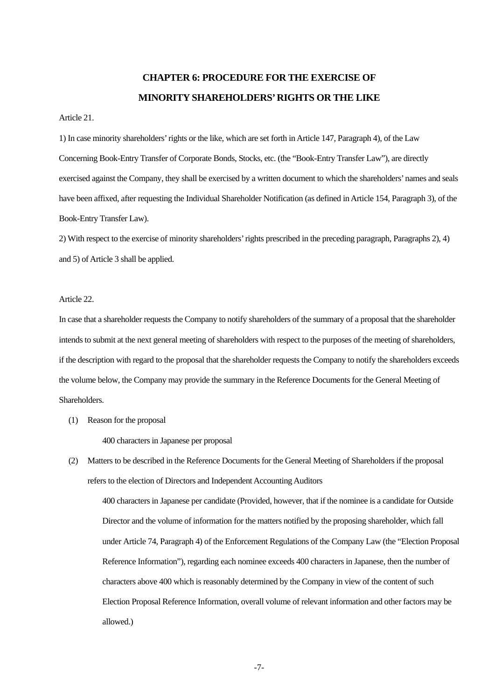# **CHAPTER 6: PROCEDURE FOR THE EXERCISE OF MINORITY SHAREHOLDERS' RIGHTS OR THE LIKE**

## Article 21.

1) In case minority shareholders' rights or the like, which are set forth in Article 147, Paragraph 4), of the Law Concerning Book-Entry Transfer of Corporate Bonds, Stocks, etc. (the "Book-Entry Transfer Law"), are directly exercised against the Company, they shall be exercised by a written document to which the shareholders' names and seals have been affixed, after requesting the Individual Shareholder Notification (as defined in Article 154, Paragraph 3), of the Book-Entry Transfer Law).

2) With respect to the exercise of minority shareholders' rights prescribed in the preceding paragraph, Paragraphs 2), 4) and 5) of Article 3 shall be applied.

#### Article 22.

In case that a shareholder requests the Company to notify shareholders of the summary of a proposal that the shareholder intends to submit at the next general meeting of shareholders with respect to the purposes of the meeting of shareholders, if the description with regard to the proposal that the shareholder requests the Company to notify the shareholders exceeds the volume below, the Company may provide the summary in the Reference Documents for the General Meeting of Shareholders.

(1) Reason for the proposal

400 characters in Japanese per proposal

(2) Matters to be described in the Reference Documents for the General Meeting of Shareholders if the proposal refers to the election of Directors and Independent Accounting Auditors

400 characters in Japanese per candidate (Provided, however, that if the nominee is a candidate for Outside Director and the volume of information for the matters notified by the proposing shareholder, which fall under Article 74, Paragraph 4) of the Enforcement Regulations of the Company Law (the "Election Proposal Reference Information"), regarding each nominee exceeds 400 characters in Japanese, then the number of characters above 400 which is reasonably determined by the Company in view of the content of such Election Proposal Reference Information, overall volume of relevant information and other factors may be allowed.)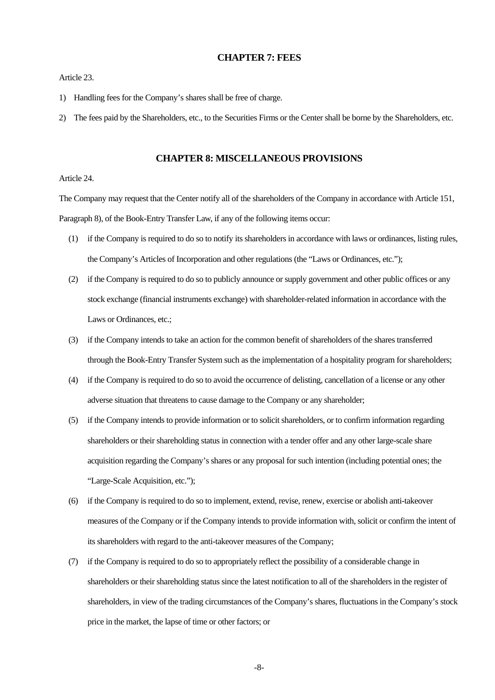#### **CHAPTER 7: FEES**

Article 23.

- 1) Handling fees for the Company's shares shall be free of charge.
- 2) The fees paid by the Shareholders, etc., to the Securities Firms or the Center shall be borne by the Shareholders, etc.

### **CHAPTER 8: MISCELLANEOUS PROVISIONS**

## Article 24.

The Company may request that the Center notify all of the shareholders of the Company in accordance with Article 151, Paragraph 8), of the Book-Entry Transfer Law, if any of the following items occur:

- (1) if the Company is required to do so to notify its shareholders in accordance with laws or ordinances, listing rules, the Company's Articles of Incorporation and other regulations (the "Laws or Ordinances, etc.");
- (2) if the Company is required to do so to publicly announce or supply government and other public offices or any stock exchange (financial instruments exchange) with shareholder-related information in accordance with the Laws or Ordinances, etc.;
- (3) if the Company intends to take an action for the common benefit of shareholders of the shares transferred through the Book-Entry Transfer System such as the implementation of a hospitality program for shareholders;
- (4) if the Company is required to do so to avoid the occurrence of delisting, cancellation of a license or any other adverse situation that threatens to cause damage to the Company or any shareholder;
- (5) if the Company intends to provide information or to solicit shareholders, or to confirm information regarding shareholders or their shareholding status in connection with a tender offer and any other large-scale share acquisition regarding the Company's shares or any proposal for such intention (including potential ones; the "Large-Scale Acquisition, etc.");
- (6) if the Company is required to do so to implement, extend, revise, renew, exercise or abolish anti-takeover measures of the Company or if the Company intends to provide information with, solicit or confirm the intent of its shareholders with regard to the anti-takeover measures of the Company;
- (7) if the Company is required to do so to appropriately reflect the possibility of a considerable change in shareholders or their shareholding status since the latest notification to all of the shareholders in the register of shareholders, in view of the trading circumstances of the Company's shares, fluctuations in the Company's stock price in the market, the lapse of time or other factors; or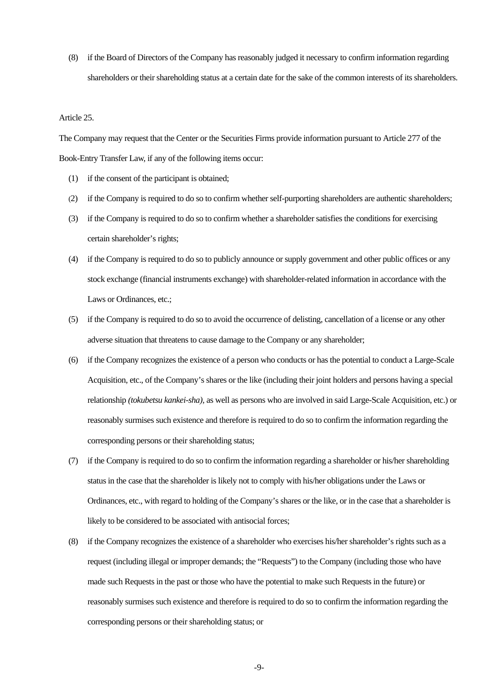(8) if the Board of Directors of the Company has reasonably judged it necessary to confirm information regarding shareholders or their shareholding status at a certain date for the sake of the common interests of its shareholders.

#### Article 25.

The Company may request that the Center or the Securities Firms provide information pursuant to Article 277 of the Book-Entry Transfer Law, if any of the following items occur:

- (1) if the consent of the participant is obtained;
- (2) if the Company is required to do so to confirm whether self-purporting shareholders are authentic shareholders;
- (3) if the Company is required to do so to confirm whether a shareholder satisfies the conditions for exercising certain shareholder's rights;
- (4) if the Company is required to do so to publicly announce or supply government and other public offices or any stock exchange (financial instruments exchange) with shareholder-related information in accordance with the Laws or Ordinances, etc.;
- (5) if the Company is required to do so to avoid the occurrence of delisting, cancellation of a license or any other adverse situation that threatens to cause damage to the Company or any shareholder;
- (6) if the Company recognizes the existence of a person who conducts or has the potential to conduct a Large-Scale Acquisition, etc., of the Company's shares or the like (including their joint holders and persons having a special relationship *(tokubetsu kankei-sha),* as well as persons who are involved in said Large-Scale Acquisition, etc.) or reasonably surmises such existence and therefore is required to do so to confirm the information regarding the corresponding persons or their shareholding status;
- (7) if the Company is required to do so to confirm the information regarding a shareholder or his/her shareholding status in the case that the shareholder is likely not to comply with his/her obligations under the Laws or Ordinances, etc., with regard to holding of the Company's shares or the like, or in the case that a shareholder is likely to be considered to be associated with antisocial forces;
- (8) if the Company recognizes the existence of a shareholder who exercises his/her shareholder's rights such as a request (including illegal or improper demands; the "Requests") to the Company (including those who have made such Requests in the past or those who have the potential to make such Requests in the future) or reasonably surmises such existence and therefore is required to do so to confirm the information regarding the corresponding persons or their shareholding status; or